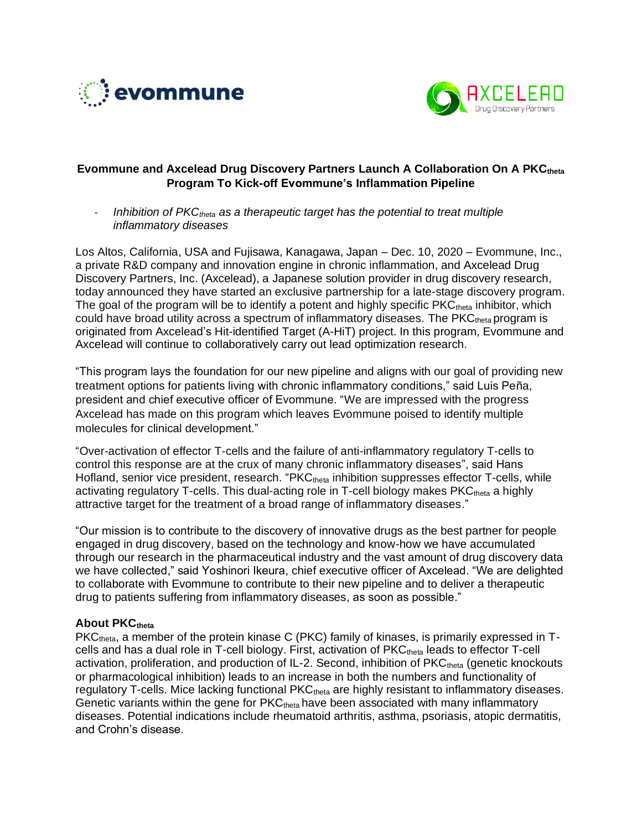



# **Evommune and Axcelead Drug Discovery Partners Launch A Collaboration On A PKCtheta Program To Kick-off Evommune's Inflammation Pipeline**

- *Inhibition of PKCtheta as a therapeutic target has the potential to treat multiple inflammatory diseases*

Los Altos, California, USA and Fujisawa, Kanagawa, Japan – Dec. 10, 2020 – Evommune, Inc., a private R&D company and innovation engine in chronic inflammation, and Axcelead Drug Discovery Partners, Inc. (Axcelead), a Japanese solution provider in drug discovery research, today announced they have started an exclusive partnership for a late-stage discovery program. The goal of the program will be to identify a potent and highly specific  $PKC<sub>theta</sub>$  inhibitor, which could have broad utility across a spectrum of inflammatory diseases. The PKCtheta program is originated from Axcelead's Hit-identified Target (A-HiT) project. In this program, Evommune and Axcelead will continue to collaboratively carry out lead optimization research.

"This program lays the foundation for our new pipeline and aligns with our goal of providing new treatment options for patients living with chronic inflammatory conditions," said Luis Peña, president and chief executive officer of Evommune. "We are impressed with the progress Axcelead has made on this program which leaves Evommune poised to identify multiple molecules for clinical development."

"Over-activation of effector T-cells and the failure of anti-inflammatory regulatory T-cells to control this response are at the crux of many chronic inflammatory diseases", said Hans Hofland, senior vice president, research. "PKC<sub>theta</sub> inhibition suppresses effector T-cells, while activating regulatory T-cells. This dual-acting role in T-cell biology makes  $PKC<sub>theta</sub>$  a highly attractive target for the treatment of a broad range of inflammatory diseases."

"Our mission is to contribute to the discovery of innovative drugs as the best partner for people engaged in drug discovery, based on the technology and know-how we have accumulated through our research in the pharmaceutical industry and the vast amount of drug discovery data we have collected," said Yoshinori Ikeura, chief executive officer of Axcelead. "We are delighted to collaborate with Evommune to contribute to their new pipeline and to deliver a therapeutic drug to patients suffering from inflammatory diseases, as soon as possible."

# **About PKCtheta**

PKC<sub>theta</sub>, a member of the protein kinase C (PKC) family of kinases, is primarily expressed in Tcells and has a dual role in T-cell biology. First, activation of PKC<sub>theta</sub> leads to effector T-cell activation, proliferation, and production of IL-2. Second, inhibition of PKC<sub>theta</sub> (genetic knockouts or pharmacological inhibition) leads to an increase in both the numbers and functionality of regulatory T-cells. Mice lacking functional PKC<sub>theta</sub> are highly resistant to inflammatory diseases. Genetic variants within the gene for  $PKC<sub>theta</sub>$  have been associated with many inflammatory diseases. Potential indications include rheumatoid arthritis, asthma, psoriasis, atopic dermatitis, and Crohn's disease.